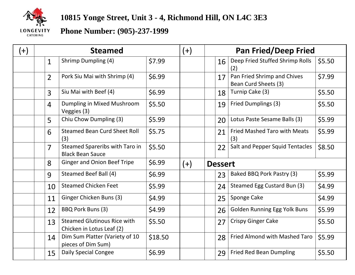

## **10815 Yonge Street, Unit 3 - 4, Richmond Hill, ON L4C 3E3**

## **Phone Number: (905)-237-1999**

| $^{(+)}$ | <b>Steamed</b> |                                                                 |         | $(+)$ |                | <b>Pan Fried/Deep Fried</b>                         |        |  |
|----------|----------------|-----------------------------------------------------------------|---------|-------|----------------|-----------------------------------------------------|--------|--|
|          | $\mathbf{1}$   | <b>Shrimp Dumpling (4)</b>                                      | \$7.99  |       | 16             | Deep Fried Stuffed Shrimp Rolls<br>(2)              | \$5.50 |  |
|          | $\overline{2}$ | Pork Siu Mai with Shrimp (4)                                    | \$6.99  |       | 17             | Pan Fried Shrimp and Chives<br>Bean Curd Sheets (3) | \$7.99 |  |
|          | $\overline{3}$ | Siu Mai with Beef (4)                                           | \$6.99  |       | 18             | Turnip Cake (3)                                     | \$5.50 |  |
|          | $\overline{4}$ | Dumpling in Mixed Mushroom<br>Veggies (3)                       | \$5.50  |       | 19             | Fried Dumplings (3)                                 | \$5.50 |  |
|          | 5              | Chiu Chow Dumpling (3)                                          | \$5.99  |       | 20             | Lotus Paste Sesame Balls (3)                        | \$5.99 |  |
|          | 6              | <b>Steamed Bean Curd Sheet Roll</b><br>(3)                      | \$5.75  |       | 21             | <b>Fried Mashed Taro with Meats</b><br>(3)          | \$5.99 |  |
|          | 7              | Steamed Spareribs with Taro in<br><b>Black Bean Sauce</b>       | \$5.50  |       | 22             | Salt and Pepper Squid Tentacles                     | \$8.50 |  |
|          | 8              | <b>Ginger and Onion Beef Tripe</b>                              | \$6.99  | $(+)$ | <b>Dessert</b> |                                                     |        |  |
|          | 9              | Steamed Beef Ball (4)                                           | \$6.99  |       | 23             | Baked BBQ Pork Pastry (3)                           | \$5.99 |  |
|          | 10             | <b>Steamed Chicken Feet</b>                                     | \$5.99  |       | 24             | Steamed Egg Custard Bun (3)                         | \$4.99 |  |
|          | 11             | Ginger Chicken Buns (3)                                         | \$4.99  |       | 25             | Sponge Cake                                         | \$4.99 |  |
|          | 12             | BBQ Pork Buns (3)                                               | \$4.99  |       | 26             | <b>Golden Running Egg Yolk Buns</b>                 | \$5.99 |  |
|          | 13             | <b>Steamed Glutinous Rice with</b><br>Chicken in Lotus Leaf (2) | \$5.50  |       | 27             | <b>Crispy Ginger Cake</b>                           | \$5.50 |  |
|          | 14             | Dim Sum Platter (Variety of 10<br>pieces of Dim Sum)            | \$18.50 |       | 28             | Fried Almond with Mashed Taro                       | \$5.99 |  |
|          | 15             | <b>Daily Special Congee</b>                                     | \$6.99  |       | 29             | <b>Fried Red Bean Dumpling</b>                      | \$5.50 |  |